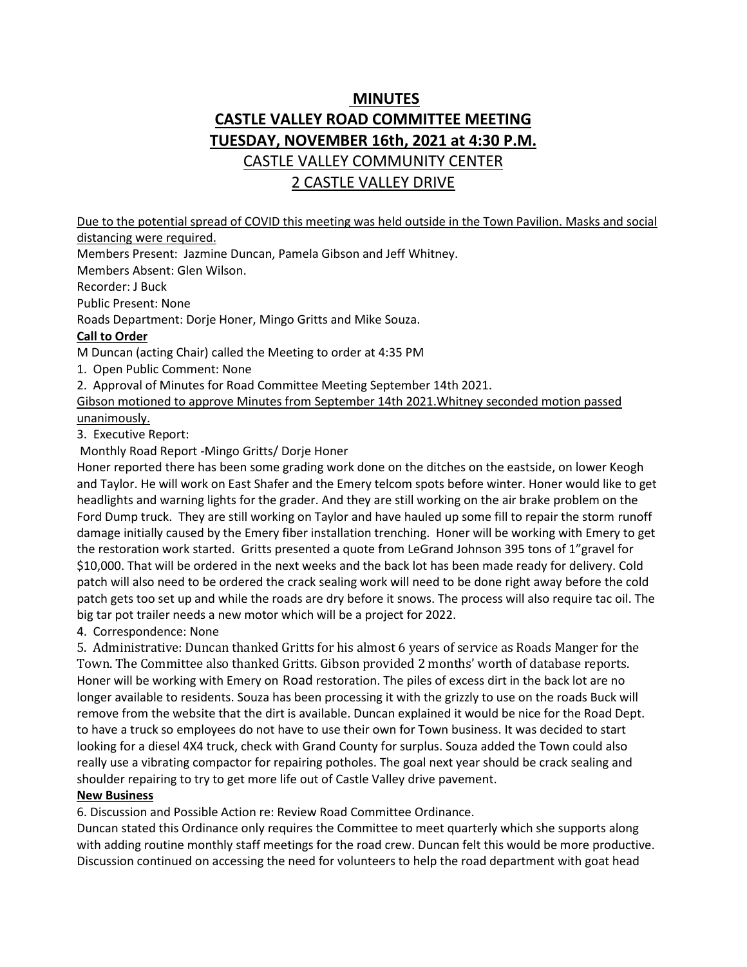# **MINUTES CASTLE VALLEY ROAD COMMITTEE MEETING TUESDAY, NOVEMBER 16th, 2021 at 4:30 P.M.** CASTLE VALLEY COMMUNITY CENTER 2 CASTLE VALLEY DRIVE

Due to the potential spread of COVID this meeting was held outside in the Town Pavilion. Masks and social distancing were required.

Members Present: Jazmine Duncan, Pamela Gibson and Jeff Whitney.

Members Absent: Glen Wilson.

Recorder: J Buck

Public Present: None

Roads Department: Dorje Honer, Mingo Gritts and Mike Souza.

## **Call to Order**

M Duncan (acting Chair) called the Meeting to order at 4:35 PM

1. Open Public Comment: None

2. Approval of Minutes for Road Committee Meeting September 14th 2021.

Gibson motioned to approve Minutes from September 14th 2021.Whitney seconded motion passed unanimously.

3. Executive Report:

Monthly Road Report -Mingo Gritts/ Dorje Honer

Honer reported there has been some grading work done on the ditches on the eastside, on lower Keogh and Taylor. He will work on East Shafer and the Emery telcom spots before winter. Honer would like to get headlights and warning lights for the grader. And they are still working on the air brake problem on the Ford Dump truck. They are still working on Taylor and have hauled up some fill to repair the storm runoff damage initially caused by the Emery fiber installation trenching. Honer will be working with Emery to get the restoration work started. Gritts presented a quote from LeGrand Johnson 395 tons of 1"gravel for \$10,000. That will be ordered in the next weeks and the back lot has been made ready for delivery. Cold patch will also need to be ordered the crack sealing work will need to be done right away before the cold patch gets too set up and while the roads are dry before it snows. The process will also require tac oil. The big tar pot trailer needs a new motor which will be a project for 2022.

4. Correspondence: None

5. Administrative: Duncan thanked Gritts for his almost 6 years of service as Roads Manger for the Town. The Committee also thanked Gritts. Gibson provided 2 months' worth of database reports. Honer will be working with Emery on Road restoration. The piles of excess dirt in the back lot are no longer available to residents. Souza has been processing it with the grizzly to use on the roads Buck will remove from the website that the dirt is available. Duncan explained it would be nice for the Road Dept. to have a truck so employees do not have to use their own for Town business. It was decided to start looking for a diesel 4X4 truck, check with Grand County for surplus. Souza added the Town could also really use a vibrating compactor for repairing potholes. The goal next year should be crack sealing and shoulder repairing to try to get more life out of Castle Valley drive pavement.

### **New Business**

6. Discussion and Possible Action re: Review Road Committee Ordinance.

Duncan stated this Ordinance only requires the Committee to meet quarterly which she supports along with adding routine monthly staff meetings for the road crew. Duncan felt this would be more productive. Discussion continued on accessing the need for volunteers to help the road department with goat head